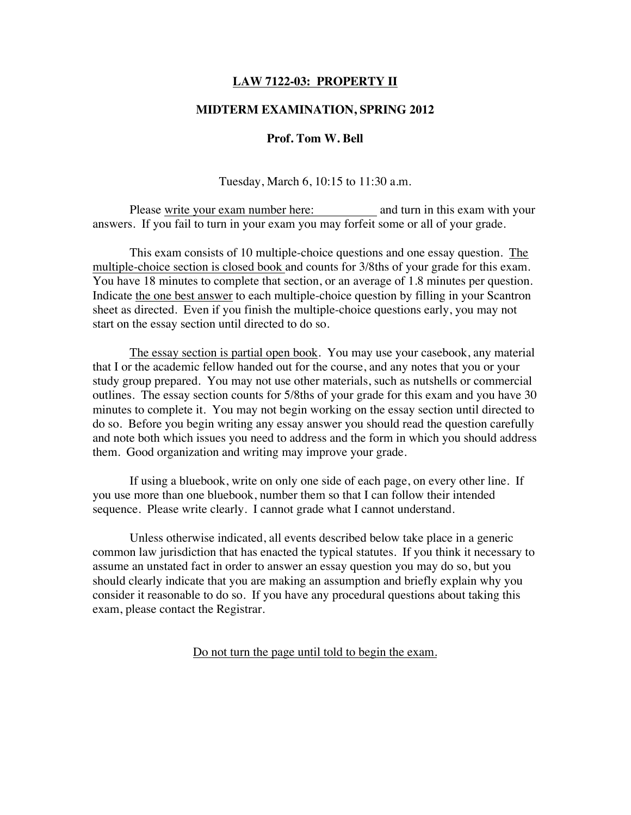## **LAW 7122-03: PROPERTY II**

### **MIDTERM EXAMINATION, SPRING 2012**

### **Prof. Tom W. Bell**

Tuesday, March 6, 10:15 to 11:30 a.m.

Please write your exam number here: and turn in this exam with your answers. If you fail to turn in your exam you may forfeit some or all of your grade.

This exam consists of 10 multiple-choice questions and one essay question. The multiple-choice section is closed book and counts for 3/8ths of your grade for this exam. You have 18 minutes to complete that section, or an average of 1.8 minutes per question. Indicate the one best answer to each multiple-choice question by filling in your Scantron sheet as directed. Even if you finish the multiple-choice questions early, you may not start on the essay section until directed to do so.

The essay section is partial open book. You may use your casebook, any material that I or the academic fellow handed out for the course, and any notes that you or your study group prepared. You may not use other materials, such as nutshells or commercial outlines. The essay section counts for 5/8ths of your grade for this exam and you have 30 minutes to complete it. You may not begin working on the essay section until directed to do so. Before you begin writing any essay answer you should read the question carefully and note both which issues you need to address and the form in which you should address them. Good organization and writing may improve your grade.

If using a bluebook, write on only one side of each page, on every other line. If you use more than one bluebook, number them so that I can follow their intended sequence. Please write clearly. I cannot grade what I cannot understand.

Unless otherwise indicated, all events described below take place in a generic common law jurisdiction that has enacted the typical statutes. If you think it necessary to assume an unstated fact in order to answer an essay question you may do so, but you should clearly indicate that you are making an assumption and briefly explain why you consider it reasonable to do so. If you have any procedural questions about taking this exam, please contact the Registrar.

Do not turn the page until told to begin the exam.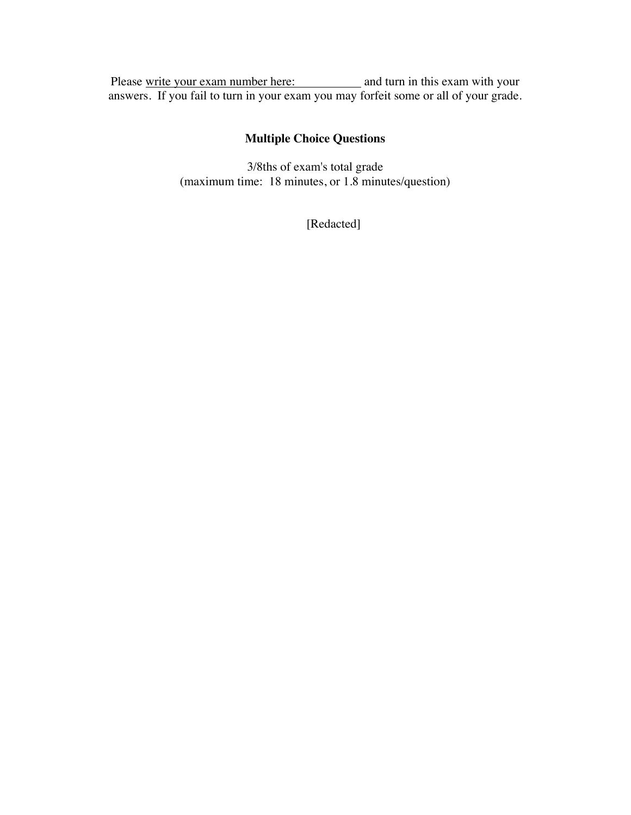Please write your exam number here: and turn in this exam with your answers. If you fail to turn in your exam you may forfeit some or all of your grade.

# **Multiple Choice Questions**

3/8ths of exam's total grade (maximum time: 18 minutes, or 1.8 minutes/question)

[Redacted]